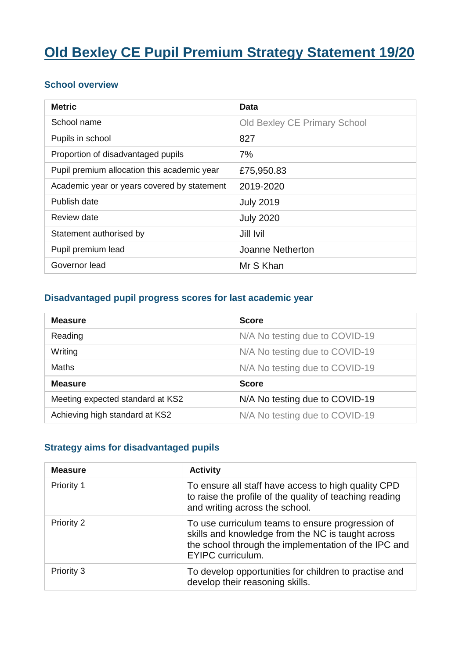# **Old Bexley CE Pupil Premium Strategy Statement 19/20**

#### **School overview**

| <b>Metric</b>                               | Data                                |
|---------------------------------------------|-------------------------------------|
| School name                                 | <b>Old Bexley CE Primary School</b> |
| Pupils in school                            | 827                                 |
| Proportion of disadvantaged pupils          | 7%                                  |
| Pupil premium allocation this academic year | £75,950.83                          |
| Academic year or years covered by statement | 2019-2020                           |
| Publish date                                | <b>July 2019</b>                    |
| Review date                                 | <b>July 2020</b>                    |
| Statement authorised by                     | Jill Ivil                           |
| Pupil premium lead                          | Joanne Netherton                    |
| Governor lead                               | Mr S Khan                           |

#### **Disadvantaged pupil progress scores for last academic year**

| <b>Measure</b>                   | <b>Score</b>                   |
|----------------------------------|--------------------------------|
| Reading                          | N/A No testing due to COVID-19 |
| Writing                          | N/A No testing due to COVID-19 |
| <b>Maths</b>                     | N/A No testing due to COVID-19 |
| <b>Measure</b>                   | <b>Score</b>                   |
| Meeting expected standard at KS2 | N/A No testing due to COVID-19 |
| Achieving high standard at KS2   | N/A No testing due to COVID-19 |

#### **Strategy aims for disadvantaged pupils**

| <b>Measure</b> | <b>Activity</b>                                                                                                                                                                           |
|----------------|-------------------------------------------------------------------------------------------------------------------------------------------------------------------------------------------|
| Priority 1     | To ensure all staff have access to high quality CPD<br>to raise the profile of the quality of teaching reading<br>and writing across the school.                                          |
| Priority 2     | To use curriculum teams to ensure progression of<br>skills and knowledge from the NC is taught across<br>the school through the implementation of the IPC and<br><b>EYIPC</b> curriculum. |
| Priority 3     | To develop opportunities for children to practise and<br>develop their reasoning skills.                                                                                                  |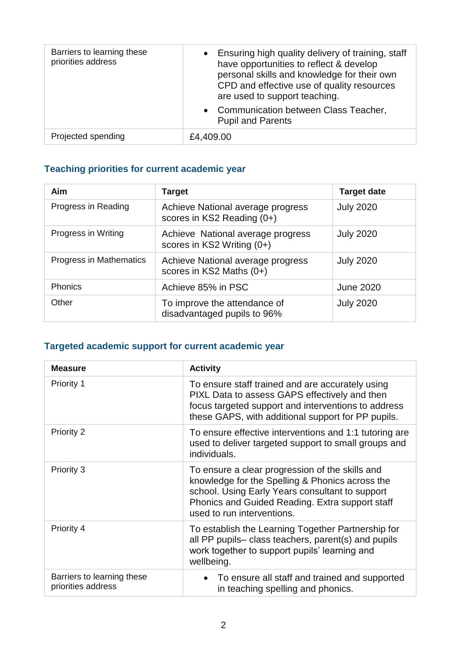| Barriers to learning these<br>priorities address | • Ensuring high quality delivery of training, staff<br>have opportunities to reflect & develop<br>personal skills and knowledge for their own<br>CPD and effective use of quality resources<br>are used to support teaching.<br>• Communication between Class Teacher,<br><b>Pupil and Parents</b> |
|--------------------------------------------------|----------------------------------------------------------------------------------------------------------------------------------------------------------------------------------------------------------------------------------------------------------------------------------------------------|
| Projected spending                               | £4,409.00                                                                                                                                                                                                                                                                                          |

## **Teaching priorities for current academic year**

| <b>Aim</b>              | <b>Target</b>                                                   | <b>Target date</b> |
|-------------------------|-----------------------------------------------------------------|--------------------|
| Progress in Reading     | Achieve National average progress<br>scores in KS2 Reading (0+) | <b>July 2020</b>   |
| Progress in Writing     | Achieve National average progress<br>scores in KS2 Writing (0+) | <b>July 2020</b>   |
| Progress in Mathematics | Achieve National average progress<br>scores in KS2 Maths $(0+)$ | <b>July 2020</b>   |
| Phonics                 | Achieve 85% in PSC                                              | <b>June 2020</b>   |
| Other                   | To improve the attendance of<br>disadvantaged pupils to 96%     | <b>July 2020</b>   |

## **Targeted academic support for current academic year**

| <b>Measure</b>                                   | <b>Activity</b>                                                                                                                                                                                                                        |
|--------------------------------------------------|----------------------------------------------------------------------------------------------------------------------------------------------------------------------------------------------------------------------------------------|
| Priority 1                                       | To ensure staff trained and are accurately using<br>PIXL Data to assess GAPS effectively and then<br>focus targeted support and interventions to address<br>these GAPS, with additional support for PP pupils.                         |
| Priority 2                                       | To ensure effective interventions and 1:1 tutoring are<br>used to deliver targeted support to small groups and<br>individuals.                                                                                                         |
| Priority 3                                       | To ensure a clear progression of the skills and<br>knowledge for the Spelling & Phonics across the<br>school. Using Early Years consultant to support<br>Phonics and Guided Reading. Extra support staff<br>used to run interventions. |
| Priority 4                                       | To establish the Learning Together Partnership for<br>all PP pupils- class teachers, parent(s) and pupils<br>work together to support pupils' learning and<br>wellbeing.                                                               |
| Barriers to learning these<br>priorities address | • To ensure all staff and trained and supported<br>in teaching spelling and phonics.                                                                                                                                                   |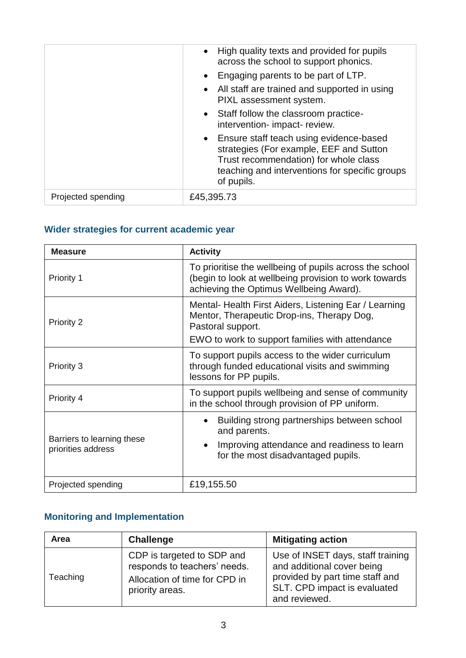|                    | High quality texts and provided for pupils<br>$\bullet$<br>across the school to support phonics.<br>Engaging parents to be part of LTP.<br>$\bullet$<br>• All staff are trained and supported in using<br>PIXL assessment system.<br>Staff follow the classroom practice-<br>$\bullet$<br>intervention- impact- review.<br>Ensure staff teach using evidence-based<br>$\bullet$<br>strategies (For example, EEF and Sutton<br>Trust recommendation) for whole class<br>teaching and interventions for specific groups<br>of pupils. |
|--------------------|-------------------------------------------------------------------------------------------------------------------------------------------------------------------------------------------------------------------------------------------------------------------------------------------------------------------------------------------------------------------------------------------------------------------------------------------------------------------------------------------------------------------------------------|
| Projected spending | £45,395.73                                                                                                                                                                                                                                                                                                                                                                                                                                                                                                                          |

# **Wider strategies for current academic year**

| <b>Measure</b>                                   | <b>Activity</b>                                                                                                                                                            |  |
|--------------------------------------------------|----------------------------------------------------------------------------------------------------------------------------------------------------------------------------|--|
| Priority 1                                       | To prioritise the wellbeing of pupils across the school<br>(begin to look at wellbeing provision to work towards<br>achieving the Optimus Wellbeing Award).                |  |
| Priority 2                                       | Mental-Health First Aiders, Listening Ear / Learning<br>Mentor, Therapeutic Drop-ins, Therapy Dog,<br>Pastoral support.<br>EWO to work to support families with attendance |  |
| Priority 3                                       | To support pupils access to the wider curriculum<br>through funded educational visits and swimming<br>lessons for PP pupils.                                               |  |
| Priority 4                                       | To support pupils wellbeing and sense of community<br>in the school through provision of PP uniform.                                                                       |  |
| Barriers to learning these<br>priorities address | Building strong partnerships between school<br>$\bullet$<br>and parents.<br>Improving attendance and readiness to learn<br>$\bullet$<br>for the most disadvantaged pupils. |  |
| Projected spending                               | £19,155.50                                                                                                                                                                 |  |

## **Monitoring and Implementation**

| Area     | <b>Challenge</b>                                                                                               | <b>Mitigating action</b>                                                                                                                            |
|----------|----------------------------------------------------------------------------------------------------------------|-----------------------------------------------------------------------------------------------------------------------------------------------------|
| Teaching | CDP is targeted to SDP and<br>responds to teachers' needs.<br>Allocation of time for CPD in<br>priority areas. | Use of INSET days, staff training<br>and additional cover being<br>provided by part time staff and<br>SLT. CPD impact is evaluated<br>and reviewed. |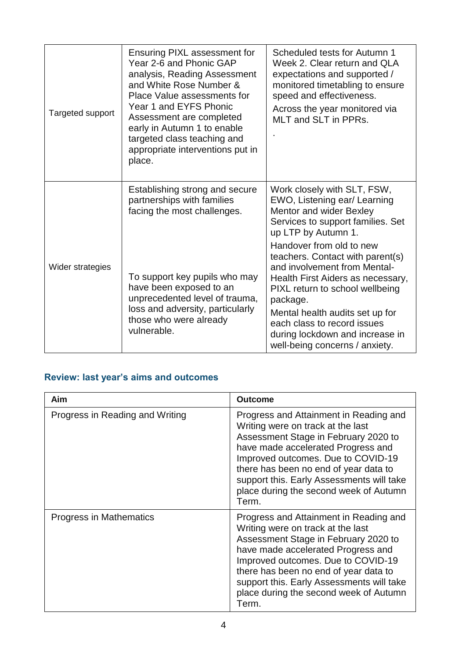| Targeted support | Ensuring PIXL assessment for<br>Year 2-6 and Phonic GAP<br>analysis, Reading Assessment<br>and White Rose Number &<br>Place Value assessments for<br>Year 1 and EYFS Phonic<br>Assessment are completed<br>early in Autumn 1 to enable<br>targeted class teaching and<br>appropriate interventions put in<br>place. | Scheduled tests for Autumn 1<br>Week 2. Clear return and QLA<br>expectations and supported /<br>monitored timetabling to ensure<br>speed and effectiveness.<br>Across the year monitored via<br>MLT and SLT in PPRs.                                                                                                    |
|------------------|---------------------------------------------------------------------------------------------------------------------------------------------------------------------------------------------------------------------------------------------------------------------------------------------------------------------|-------------------------------------------------------------------------------------------------------------------------------------------------------------------------------------------------------------------------------------------------------------------------------------------------------------------------|
|                  | Establishing strong and secure<br>partnerships with families<br>facing the most challenges.                                                                                                                                                                                                                         | Work closely with SLT, FSW,<br>EWO, Listening ear/ Learning<br>Mentor and wider Bexley<br>Services to support families. Set<br>up LTP by Autumn 1.                                                                                                                                                                      |
| Wider strategies | To support key pupils who may<br>have been exposed to an<br>unprecedented level of trauma,<br>loss and adversity, particularly<br>those who were already<br>vulnerable.                                                                                                                                             | Handover from old to new<br>teachers. Contact with parent(s)<br>and involvement from Mental-<br>Health First Aiders as necessary,<br>PIXL return to school wellbeing<br>package.<br>Mental health audits set up for<br>each class to record issues<br>during lockdown and increase in<br>well-being concerns / anxiety. |

## **Review: last year's aims and outcomes**

| Aim                             | <b>Outcome</b>                                                                                                                                                                                                                                                                                                                           |
|---------------------------------|------------------------------------------------------------------------------------------------------------------------------------------------------------------------------------------------------------------------------------------------------------------------------------------------------------------------------------------|
| Progress in Reading and Writing | Progress and Attainment in Reading and<br>Writing were on track at the last<br>Assessment Stage in February 2020 to<br>have made accelerated Progress and<br>Improved outcomes. Due to COVID-19<br>there has been no end of year data to<br>support this. Early Assessments will take<br>place during the second week of Autumn<br>Term. |
| Progress in Mathematics         | Progress and Attainment in Reading and<br>Writing were on track at the last<br>Assessment Stage in February 2020 to<br>have made accelerated Progress and<br>Improved outcomes. Due to COVID-19<br>there has been no end of year data to<br>support this. Early Assessments will take<br>place during the second week of Autumn<br>Term. |